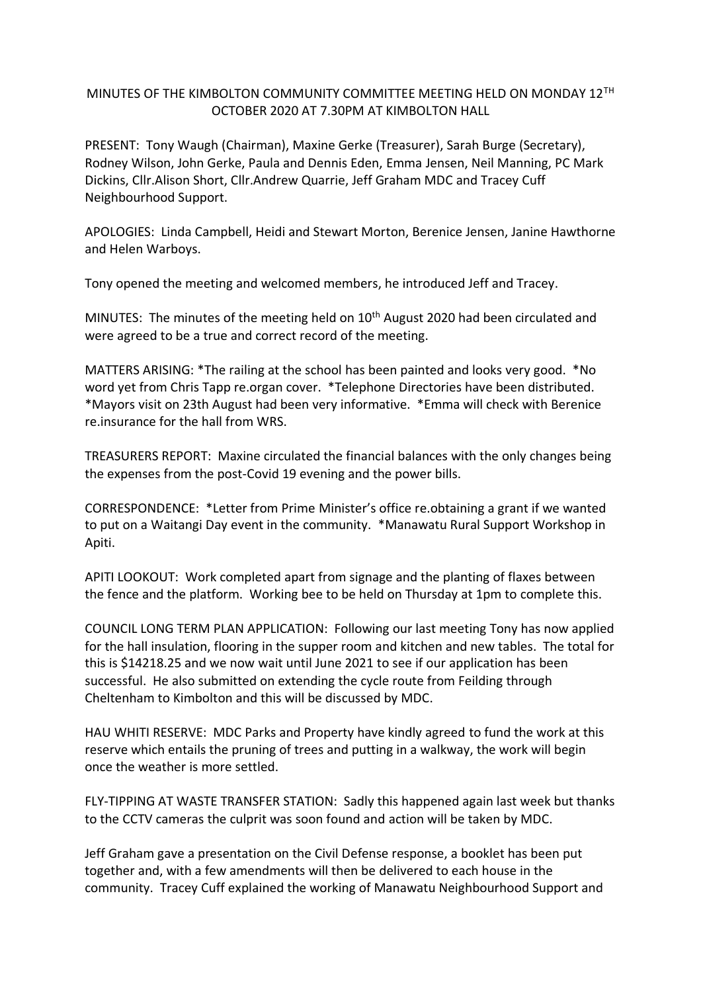## MINUTES OF THE KIMBOLTON COMMUNITY COMMITTEE MEETING HELD ON MONDAY 12TH OCTOBER 2020 AT 7.30PM AT KIMBOLTON HALL

PRESENT: Tony Waugh (Chairman), Maxine Gerke (Treasurer), Sarah Burge (Secretary), Rodney Wilson, John Gerke, Paula and Dennis Eden, Emma Jensen, Neil Manning, PC Mark Dickins, Cllr.Alison Short, Cllr.Andrew Quarrie, Jeff Graham MDC and Tracey Cuff Neighbourhood Support.

APOLOGIES: Linda Campbell, Heidi and Stewart Morton, Berenice Jensen, Janine Hawthorne and Helen Warboys.

Tony opened the meeting and welcomed members, he introduced Jeff and Tracey.

MINUTES: The minutes of the meeting held on  $10<sup>th</sup>$  August 2020 had been circulated and were agreed to be a true and correct record of the meeting.

MATTERS ARISING: \*The railing at the school has been painted and looks very good. \*No word yet from Chris Tapp re.organ cover. \*Telephone Directories have been distributed. \*Mayors visit on 23th August had been very informative. \*Emma will check with Berenice re.insurance for the hall from WRS.

TREASURERS REPORT: Maxine circulated the financial balances with the only changes being the expenses from the post-Covid 19 evening and the power bills.

CORRESPONDENCE: \*Letter from Prime Minister's office re.obtaining a grant if we wanted to put on a Waitangi Day event in the community. \*Manawatu Rural Support Workshop in Apiti.

APITI LOOKOUT: Work completed apart from signage and the planting of flaxes between the fence and the platform. Working bee to be held on Thursday at 1pm to complete this.

COUNCIL LONG TERM PLAN APPLICATION: Following our last meeting Tony has now applied for the hall insulation, flooring in the supper room and kitchen and new tables. The total for this is \$14218.25 and we now wait until June 2021 to see if our application has been successful. He also submitted on extending the cycle route from Feilding through Cheltenham to Kimbolton and this will be discussed by MDC.

HAU WHITI RESERVE: MDC Parks and Property have kindly agreed to fund the work at this reserve which entails the pruning of trees and putting in a walkway, the work will begin once the weather is more settled.

FLY-TIPPING AT WASTE TRANSFER STATION: Sadly this happened again last week but thanks to the CCTV cameras the culprit was soon found and action will be taken by MDC.

Jeff Graham gave a presentation on the Civil Defense response, a booklet has been put together and, with a few amendments will then be delivered to each house in the community. Tracey Cuff explained the working of Manawatu Neighbourhood Support and